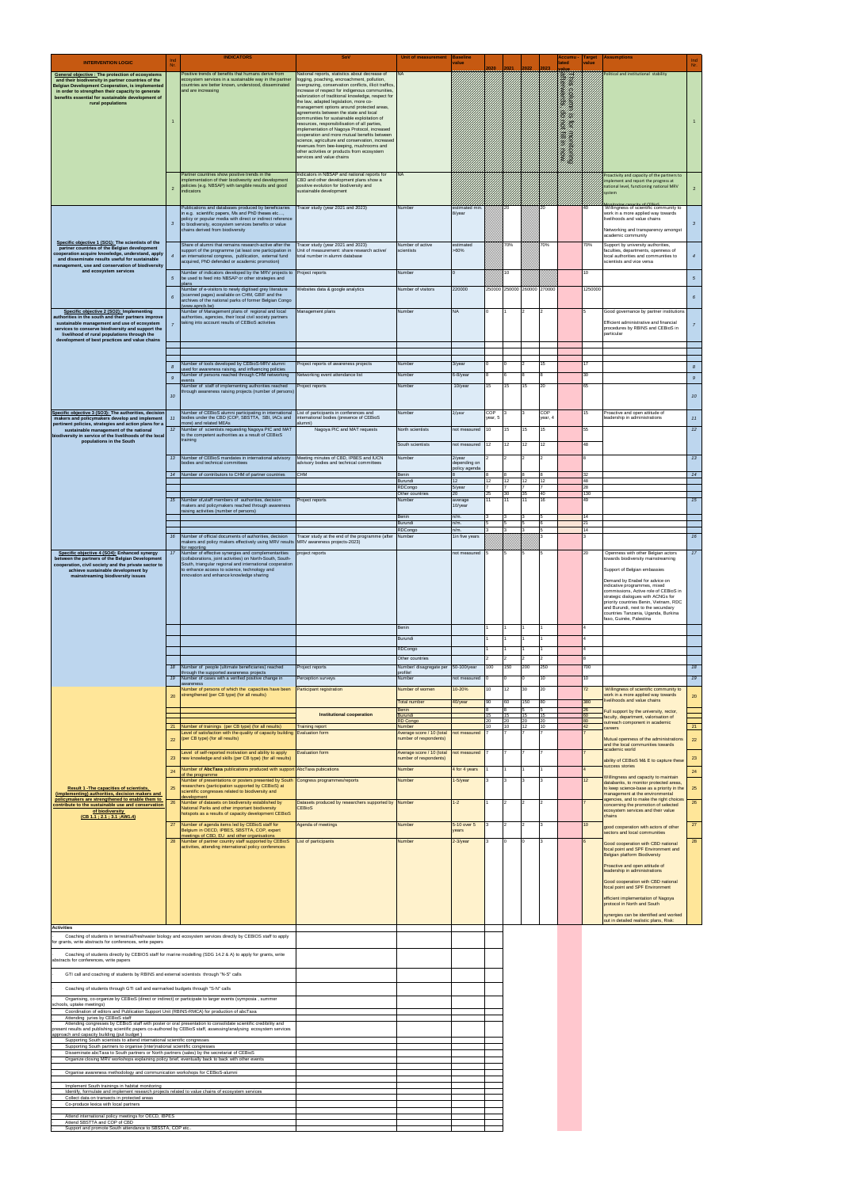|                                                                                                                                                                             | Ind              | <b>INDICATORS</b>                                                                                                                            |                                                                                                           | <b>Unit of measurement</b>                          | Baseline                      |          |          |                             |          | ccumu                         | <b>Target</b> | <b>Assumptions</b>                                                               | Ind              |
|-----------------------------------------------------------------------------------------------------------------------------------------------------------------------------|------------------|----------------------------------------------------------------------------------------------------------------------------------------------|-----------------------------------------------------------------------------------------------------------|-----------------------------------------------------|-------------------------------|----------|----------|-----------------------------|----------|-------------------------------|---------------|----------------------------------------------------------------------------------|------------------|
| <b>INTERVENTION LOGIC</b>                                                                                                                                                   |                  |                                                                                                                                              |                                                                                                           |                                                     | <i>r</i> alue                 | 2020     | 2021     | 2022                        | 023      | ated                          | alue          |                                                                                  | Nr.              |
| General objective : The protection of ecosystems<br>and their biodiversity in partner countries of the                                                                      |                  | Positive trends of benefits that humans derive from<br>ecosystem services in a sustainable way in the partner                                | Vational reports, statistics about decrease of<br>logging, poaching, encroachment, pollution,             | <b>NA</b>                                           |                               |          |          |                             |          | This column<br>differwards.   |               | Political and institutional stability                                            |                  |
| <b>Belgian Development Cooperation, is implemented</b><br>in order to strengthen their capacity to generate                                                                 |                  | countries are better known, understood, disseminated<br>and are increasing                                                                   | overgrazing, conservation conflicts, illicit traffics,<br>increase of respect for indigenous communities, |                                                     |                               |          |          |                             |          |                               |               |                                                                                  |                  |
| benefits essential for sustainable development of<br>rural populations                                                                                                      |                  |                                                                                                                                              | valorization of traditional knowledge, respect for<br>the law, adapted legislation, more co-              |                                                     |                               |          |          |                             |          | column                        |               |                                                                                  |                  |
|                                                                                                                                                                             |                  |                                                                                                                                              | management options around protected areas.<br>agreements between the state and local                      |                                                     |                               |          |          |                             |          | $\frac{\partial}{\partial x}$ |               |                                                                                  |                  |
|                                                                                                                                                                             | $\mathbf{1}$     |                                                                                                                                              | communities for sustainable exploitation of<br>resources, responsibilisation of all parties,              |                                                     |                               |          |          |                             |          | an<br>Ali                     |               |                                                                                  | $\mathbf{1}$     |
|                                                                                                                                                                             |                  |                                                                                                                                              | implementation of Nagoya Protocol, increased<br>cooperation and more mutual benefits between              |                                                     |                               |          |          |                             |          |                               |               |                                                                                  |                  |
|                                                                                                                                                                             |                  |                                                                                                                                              | science, agriculture and conservation, increased<br>revenues from bee-keeping, mushrooms and              |                                                     |                               |          |          |                             |          |                               |               |                                                                                  |                  |
|                                                                                                                                                                             |                  |                                                                                                                                              | other activities or products from ecosystem<br>services and value chains                                  |                                                     |                               |          |          |                             |          | Hill Hills Passes             |               |                                                                                  |                  |
|                                                                                                                                                                             |                  |                                                                                                                                              |                                                                                                           |                                                     |                               |          |          |                             |          |                               |               |                                                                                  |                  |
|                                                                                                                                                                             |                  | Partner countries show positive trends in the<br>mplementation of their biodivesrity and development                                         | Indicators in NBSAP and national reports for<br>CBD and other development plans show a                    | NA                                                  |                               |          |          |                             |          |                               |               | Proactivity and capacity of the partners to                                      |                  |
|                                                                                                                                                                             | $\overline{2}$   | policies (e.g. NBSAP) with tangible results and good<br>indicators                                                                           | positive evolution for biodiversity and<br>sustainable development                                        |                                                     |                               |          |          |                             |          |                               |               | implement and report the progress at<br>national level, functioning national MRV | $\overline{2}$   |
|                                                                                                                                                                             |                  |                                                                                                                                              |                                                                                                           |                                                     |                               |          |          |                             |          |                               |               | system                                                                           |                  |
|                                                                                                                                                                             |                  | Publications and databases produced by beneficiaries<br>in e.g. scientific papers, Ms and PhD theses etc,                                    | Tracer study (year 2021 and 2023)                                                                         | Number                                              | estimated min.<br>8/year      |          | 20       |                             | 20       |                               | 40            | Willingness of scientific community to<br>work in a more applied way towards     |                  |
|                                                                                                                                                                             | $\mathbf{3}$     | policy or popular media with direct or indirect reference<br>to biodiversity, ecosystem services benefits or value                           |                                                                                                           |                                                     |                               |          |          |                             |          |                               |               | livelihoods and value chains                                                     | $\mathbf{3}$     |
|                                                                                                                                                                             |                  | chains derived from biodiversity                                                                                                             |                                                                                                           |                                                     |                               |          |          |                             |          |                               |               | Networking and transparency amongst<br>academic community                        |                  |
| Specific objective 1 (SO1): The scientists of the                                                                                                                           |                  | Share of alumni that remains research-active after the                                                                                       | Tracer study (year 2021 and 2023)                                                                         | Number of active                                    | estimated                     |          | 70%      |                             | 70%      |                               | 70%           | Support by university authorities,                                               |                  |
| partner countries of the Belgian development<br>cooperation acquire knowledge, understand, apply                                                                            | $\overline{4}$   | support of the programme (at least one participation in<br>an international congress, publication, external fund                             | Unit of measurement: share research active/<br>total number in alumni database                            | scientists                                          | >60%                          |          |          |                             |          |                               |               | faculties, departments, openness of<br>local authorities and communities to      | $\overline{4}$   |
| and disseminate results useful for sustainable<br>management, use and conservation of biodiversity                                                                          |                  | acquired, PhD defended or academic promotion)                                                                                                |                                                                                                           |                                                     |                               |          |          |                             |          |                               |               | scientists and vice versa                                                        |                  |
| and ecosystem services                                                                                                                                                      | 5 <sub>5</sub>   | Number of indicators developed by the MRV projects to Project reports<br>be used to feed into NBSAP or other strategies and                  |                                                                                                           | Number                                              |                               |          | 10       |                             |          |                               | 10            |                                                                                  | $5\overline{5}$  |
|                                                                                                                                                                             |                  | plans<br>Number of e-visitors to newly digitised grey literature                                                                             | Websites data & google analytics                                                                          | Number of visitors                                  | 220000                        |          |          | 250000 250000 260000 270000 |          |                               | 1250000       |                                                                                  |                  |
|                                                                                                                                                                             | $6\overline{6}$  | scanned pages) available on CHM, GBIF and the<br>archives of the national parks of former Belgian Congo                                      |                                                                                                           |                                                     |                               |          |          |                             |          |                               |               |                                                                                  | $6\overline{6}$  |
| Specific objective 2 (SO2): Implementing                                                                                                                                    |                  | www.apncb.be)<br>Number of Management plans of regional and local                                                                            | Management plans                                                                                          | Number                                              | <b>NA</b>                     |          |          |                             |          |                               |               | Good governance by partner institutions                                          |                  |
| authorities in the south and their partners improve                                                                                                                         |                  | authorities, agencies, their local civil society partners<br>taking into account results of CEBioS activities                                |                                                                                                           |                                                     |                               |          |          |                             |          |                               |               | Efficient administrative and financial                                           |                  |
| sustainable management and use of ecosystem<br>services to conserve biodiversity and support the                                                                            | $\overline{7}$   |                                                                                                                                              |                                                                                                           |                                                     |                               |          |          |                             |          |                               |               | procedures by RBINS and CEBioS in<br>particular                                  | $\overline{7}$   |
| livelihood of rural populations through the<br>development of best practices and value chains                                                                               |                  |                                                                                                                                              |                                                                                                           |                                                     |                               |          |          |                             |          |                               |               |                                                                                  |                  |
|                                                                                                                                                                             |                  |                                                                                                                                              |                                                                                                           |                                                     |                               |          |          |                             |          |                               |               |                                                                                  |                  |
|                                                                                                                                                                             |                  | Number of tools developed by CEBioS-MRV alumni                                                                                               | Project reports of awareness projects                                                                     | Number                                              | 3/year                        |          |          |                             | 15       |                               | 17            |                                                                                  |                  |
|                                                                                                                                                                             | $\boldsymbol{8}$ | ised for awareness raising, and influencing policies<br>Number of persons reached through CHM networking                                     | Networking event attendance list                                                                          | Number                                              | 6-8/year                      |          |          |                             |          |                               | 30            |                                                                                  | $\boldsymbol{8}$ |
|                                                                                                                                                                             | $\boldsymbol{g}$ | vents<br>Number of staff of implementing authorities reached                                                                                 | Project reports                                                                                           | Number                                              | 10/year                       | 15       | 15       | 15                          | 20       |                               | 65            |                                                                                  | $\mathcal{G}$    |
|                                                                                                                                                                             | 10 <sub>10</sub> | hrough awareness raising projects (number of persons)                                                                                        |                                                                                                           |                                                     |                               |          |          |                             |          |                               |               |                                                                                  | 10 <sup>10</sup> |
|                                                                                                                                                                             |                  |                                                                                                                                              |                                                                                                           |                                                     |                               |          |          |                             |          |                               |               |                                                                                  |                  |
| Specific objective 3 (SO3): The authorities, decision                                                                                                                       | 11               | Number of CEBioS alumni participating in international                                                                                       | List of participants in conferences and                                                                   | Number                                              | $2$ /year                     | COP      |          |                             | COP      |                               | 15            | Proactive and open attitude of                                                   | 11               |
| makers and policymakers develop and implement<br>pertinent policies, strategies and action plans for a                                                                      |                  | bodies under the CBD (COP, SBSTTA, SBI, IACs and<br>nore) and related MEAs                                                                   | international bodies (presence of CEBioS<br>(inmula                                                       |                                                     |                               | year, 5  |          |                             | year, 4  |                               |               | eadership in administrations                                                     |                  |
| sustainable management of the national<br>biodiversity in service of the livelihoods of the local                                                                           | 12               | Number of scientists requesting Nagoya PIC and MAT<br>to the competent authorities as a result of CEBioS                                     | Nagoya PIC and MAT requests                                                                               | North scientists                                    | not measured                  | 10       | 15       | 15                          | 15       |                               | 55            |                                                                                  | 12               |
| populations in the South                                                                                                                                                    |                  | raining                                                                                                                                      |                                                                                                           | South scientists                                    | not measured                  | 12       | 12       | 12                          | 12       |                               | 48            |                                                                                  |                  |
|                                                                                                                                                                             | 13               | Number of CEBioS mandates in international advisory                                                                                          | Meeting minutes of CBD, IPBES and IUCN                                                                    | Number                                              | 2/year                        |          |          |                             |          |                               |               |                                                                                  | 13               |
|                                                                                                                                                                             |                  | bodies and technical committees                                                                                                              | advisory bodies and technical committees                                                                  |                                                     | depending on<br>policy agenda |          |          |                             |          |                               |               |                                                                                  |                  |
|                                                                                                                                                                             | 14               | Number of contributors to CHM of partner countries                                                                                           | <b>CHM</b>                                                                                                | Benin<br>Burundi                                    | 12                            | 12       | 12       | 12                          | 12       |                               | 32<br>48      |                                                                                  | 14               |
|                                                                                                                                                                             |                  |                                                                                                                                              |                                                                                                           | RDCongo                                             | 5/year                        |          |          |                             |          |                               | 28<br>30      |                                                                                  |                  |
|                                                                                                                                                                             | 15               | Number of-staff members of authorities, decision                                                                                             | Project reports                                                                                           | Number                                              | average                       | 11       |          | 11                          | 16       |                               | 49            |                                                                                  | 15               |
|                                                                                                                                                                             |                  | makers and policymakers reached through awareness<br>aising activities (number of persons)                                                   |                                                                                                           |                                                     | 10/year                       |          |          |                             |          |                               |               |                                                                                  |                  |
|                                                                                                                                                                             |                  |                                                                                                                                              |                                                                                                           | Benin<br>Burundi                                    | $n/m$ .<br>n/m.               |          |          |                             |          |                               | 14<br>21      |                                                                                  |                  |
|                                                                                                                                                                             | 16               |                                                                                                                                              | Tracer study at the end of the programme (after                                                           | RDCongo<br>Number                                   | $n/m$ .                       |          |          |                             |          |                               | 14            |                                                                                  | 16               |
|                                                                                                                                                                             |                  | Number of official documents of authorities, decision<br>makers and policy makers effectively using MRV results MRV awareness projects-2023) |                                                                                                           |                                                     | 1in five years                |          |          |                             |          |                               |               |                                                                                  |                  |
| Specific objective 4 (SO4): Enhanced synergy                                                                                                                                | 17 <sup>7</sup>  | for reporting<br>Number of effective synergies and complementarities                                                                         | project reports                                                                                           |                                                     | not measured                  |          |          |                             |          |                               | 20            | Openness with other Belgian actors                                               | 17 <sup>7</sup>  |
| between the partners of the Belgian Development<br>cooperation, civil society and the private sector to                                                                     |                  | (collaborations, joint activities) on North-South, South-<br>South, triangular regional and international cooperation                        |                                                                                                           |                                                     |                               |          |          |                             |          |                               |               | towards biodiversity mainstreaming                                               |                  |
| achieve sustainable development by<br>mainstreaming biodiversity issues                                                                                                     |                  | to enhance access to science, technology and<br>innovation and enhance knowledge sharing                                                     |                                                                                                           |                                                     |                               |          |          |                             |          |                               |               | Support of Belgian embassies                                                     |                  |
|                                                                                                                                                                             |                  |                                                                                                                                              |                                                                                                           |                                                     |                               |          |          |                             |          |                               |               | Demand by Enabel for advice on<br>indicative programmes, mixed                   |                  |
|                                                                                                                                                                             |                  |                                                                                                                                              |                                                                                                           |                                                     |                               |          |          |                             |          |                               |               | commissions, Active role of CEBioS in<br>strategic dialogues with ACNGs for      |                  |
|                                                                                                                                                                             |                  |                                                                                                                                              |                                                                                                           |                                                     |                               |          |          |                             |          |                               |               | priority countries Benin, Vietnam, RDC<br>and Burundi, next to the secundary     |                  |
|                                                                                                                                                                             |                  |                                                                                                                                              |                                                                                                           |                                                     |                               |          |          |                             |          |                               |               | countries Tanzania, Uganda, Burkina<br>faso, Guinée, Palestina                   |                  |
|                                                                                                                                                                             |                  |                                                                                                                                              |                                                                                                           | Benin                                               |                               |          |          |                             |          |                               |               |                                                                                  |                  |
|                                                                                                                                                                             |                  |                                                                                                                                              |                                                                                                           | Burundi                                             |                               |          |          |                             |          |                               |               |                                                                                  |                  |
|                                                                                                                                                                             |                  |                                                                                                                                              |                                                                                                           | RDCongo                                             |                               |          |          |                             |          |                               |               |                                                                                  |                  |
|                                                                                                                                                                             |                  |                                                                                                                                              |                                                                                                           | Other countries                                     |                               |          |          |                             |          |                               |               |                                                                                  |                  |
|                                                                                                                                                                             | 18               | Number of people (ultimate beneficiaries) reached<br>hrough the supported awareness projects                                                 | Project reports                                                                                           | Number/ disagregate per<br>profile!                 | 50-100/year                   | 100      | 150      | 200                         | 250      |                               | 700           |                                                                                  | 18               |
|                                                                                                                                                                             | 19               | Number of cases with a verified positive change in<br>awareness                                                                              | Perception surveys                                                                                        | Number                                              | not measured                  |          |          |                             | 10       |                               | 10            |                                                                                  | 19               |
|                                                                                                                                                                             | 20               | Number of persons of which the capacities have been<br>strengthened (per CB type) (for all results)                                          | Participant registration                                                                                  | Number of women                                     | 10-20%                        | 10       | 12       | 30                          | 20       |                               | 72            | Willingness of scientific community to<br>work in a more applied way towards     |                  |
|                                                                                                                                                                             |                  |                                                                                                                                              |                                                                                                           | <b>Total number</b>                                 | 40/year                       | 90       | 60       | 150                         | 80       |                               | 380           | ivelihoods and value chains                                                      | 20               |
|                                                                                                                                                                             |                  |                                                                                                                                              | <b>Institutional cooperation</b>                                                                          | Benin<br>Burundi                                    |                               | 15       | 15       | 15                          | 15       |                               | 26<br>60      | Full support by the university, rector,<br>faculty, department, valorisation of  |                  |
|                                                                                                                                                                             | 21               | Number of trainings (per CB type) (for all results)                                                                                          | <b>Training report</b>                                                                                    | <b>RD Congo</b><br>Number                           |                               | 20<br>10 | 20<br>10 | 20<br>12                    | 20<br>10 |                               | 80<br>42      | outreach component in academic<br>careers                                        | 21               |
|                                                                                                                                                                             | 22               | Level of satisfaction with the quality of capacity building Evaluation form<br>(per CB type) (for all results)                               |                                                                                                           | Average score / 10 (total<br>number of respondents) | not measured                  |          |          |                             |          |                               |               | Mutual openness of the administrations                                           | 22               |
|                                                                                                                                                                             |                  |                                                                                                                                              |                                                                                                           |                                                     |                               |          |          |                             |          |                               |               | and the local communities towards<br>academic world                              |                  |
|                                                                                                                                                                             | 23               | Level of self-reported motivation and ability to apply<br>new knowledge and skills (per CB type) (for all results)                           | <b>Evaluation form</b>                                                                                    | Average score / 10 (total<br>number of respondents) | not measured                  |          |          |                             |          |                               |               | ability of CEBioS M& E to capture these                                          | 23               |
|                                                                                                                                                                             | 24               | Number of AbcTaxa publications produced with support AbcTaxa pubications                                                                     |                                                                                                           | Number                                              | 4 for 4 years                 |          |          |                             |          |                               |               | success stories                                                                  | ${\bf 24}$       |
|                                                                                                                                                                             |                  | of the programme<br>Number of presentations or posters presented by South                                                                    | Congress programmes/reports                                                                               | Number                                              | 1-5/year                      |          |          |                             |          |                               | 12            | Willingness and capacity to maintain<br>databanks, to monitor protected areas,   |                  |
| <b>Result 1 - The capacities of scientists,</b><br>(implementing) authorities, decision makers and                                                                          | 25               | esearchers (participation supported by CEBioS) at<br>scientific congresses related to biodiversity and                                       |                                                                                                           |                                                     |                               |          |          |                             |          |                               |               | to keep science-base as a priority in the<br>management at the environmental     | 25               |
| policymakers are strengthened to enable them to                                                                                                                             | 26               | levelopment<br>Number of datasets on biodiversity established by                                                                             | Datasets produced by researchers supported by Number                                                      |                                                     | $1 - 2$                       |          |          |                             |          |                               |               | agencies, and to make the right choices<br>concerning the promotion of selected  | 26               |
| contribute to the sustainable use and conservation<br>of biodiversity                                                                                                       |                  | National Parks and other important biodiversity<br>hotspots as a results of capacity development CEBioS                                      | <b>CEBioS</b>                                                                                             |                                                     |                               |          |          |                             |          |                               |               | ecosystem services and their value<br>chains                                     |                  |
| (CB 1.1:2.1:3.1:AW1.4)                                                                                                                                                      | 27               | Number of agenda items led by CEBioS staff for                                                                                               | Agenda of meetings                                                                                        | Number                                              | 5-10 over 5                   |          |          |                             |          |                               | 10            | good cooperation with actors of other                                            | 27               |
|                                                                                                                                                                             |                  | Belgium in OECD, IPBES, SBSTTA, COP, expert<br>neetings of CBD, EU and other organisations                                                   |                                                                                                           |                                                     | ears                          |          |          |                             |          |                               |               | sectors and local communities                                                    |                  |
|                                                                                                                                                                             |                  | 28 Number of partner country staff supported by CEBioS<br>activities, attending international policy conferences                             | List of participants                                                                                      | Number                                              | 2-3/year                      |          |          |                             |          |                               |               | Good cooperation with CBD national                                               | 28               |
|                                                                                                                                                                             |                  |                                                                                                                                              |                                                                                                           |                                                     |                               |          |          |                             |          |                               |               | focal point and SPF Environment and<br>Belgian platform Biodiversty              |                  |
|                                                                                                                                                                             |                  |                                                                                                                                              |                                                                                                           |                                                     |                               |          |          |                             |          |                               |               | Proactive and open attitude of                                                   |                  |
|                                                                                                                                                                             |                  |                                                                                                                                              |                                                                                                           |                                                     |                               |          |          |                             |          |                               |               | leadership in administrations                                                    |                  |
|                                                                                                                                                                             |                  |                                                                                                                                              |                                                                                                           |                                                     |                               |          |          |                             |          |                               |               | Good cooperation with CBD national<br>focal point and SPF Environment            |                  |
|                                                                                                                                                                             |                  |                                                                                                                                              |                                                                                                           |                                                     |                               |          |          |                             |          |                               |               | efficient implementation of Nagoya                                               |                  |
|                                                                                                                                                                             |                  |                                                                                                                                              |                                                                                                           |                                                     |                               |          |          |                             |          |                               |               | protocol in North and South                                                      |                  |
|                                                                                                                                                                             |                  |                                                                                                                                              |                                                                                                           |                                                     |                               |          |          |                             |          |                               |               | synergies can be identified and worked<br>out in detailed realistic plans, Risk: |                  |
| <b>Activities</b>                                                                                                                                                           |                  | Coaching of students in terrestrial/freshwater biology and ecosystem services directly by CEBIOS staff to apply                              |                                                                                                           |                                                     |                               |          |          |                             |          |                               |               |                                                                                  |                  |
| grants, write abstracts for conferences, write papers                                                                                                                       |                  |                                                                                                                                              |                                                                                                           |                                                     |                               |          |          |                             |          |                               |               |                                                                                  |                  |
|                                                                                                                                                                             |                  | Coaching of students directly by CEBIOS staff for marine modelling (SDG 14.2 & A) to apply for grants, write                                 |                                                                                                           |                                                     |                               |          |          |                             |          |                               |               |                                                                                  |                  |
| abstracts for conferences, write papers                                                                                                                                     |                  |                                                                                                                                              |                                                                                                           |                                                     |                               |          |          |                             |          |                               |               |                                                                                  |                  |
| GTI call and coaching of students by RBINS and external scientists through "N-S" calls                                                                                      |                  |                                                                                                                                              |                                                                                                           |                                                     |                               |          |          |                             |          |                               |               |                                                                                  |                  |
| Coaching of students through GTI call and earmarked budgets through "S-N" calls                                                                                             |                  |                                                                                                                                              |                                                                                                           |                                                     |                               |          |          |                             |          |                               |               |                                                                                  |                  |
| Organising, co-organize by CEBioS (direct or indirect) or participate to larger events (symposia, summer                                                                    |                  |                                                                                                                                              |                                                                                                           |                                                     |                               |          |          |                             |          |                               |               |                                                                                  |                  |
| schools, uptake meetings)<br>Coordination of editors and Publication Support Unit (RBINS-RMCA) for production of abcTaxa                                                    |                  |                                                                                                                                              |                                                                                                           |                                                     |                               |          |          |                             |          |                               |               |                                                                                  |                  |
| Attending juries by CEBioS staff                                                                                                                                            |                  |                                                                                                                                              |                                                                                                           |                                                     |                               |          |          |                             |          |                               |               |                                                                                  |                  |
| present results and publishing scientific papers co-authored by CEBioS staff, assessing/analysing ecosystem services                                                        |                  | Attending congresses by CEBioS staff with poster or oral presentation to consolidate scientific credibility and                              |                                                                                                           |                                                     |                               |          |          |                             |          |                               |               |                                                                                  |                  |
| approach and capacity building (put budget)<br>Supporting South scientists to attend international scientific congresses                                                    |                  |                                                                                                                                              |                                                                                                           |                                                     |                               |          |          |                             |          |                               |               |                                                                                  |                  |
| Supporting South partners to organise (inter)national scientific congresses<br>Disseminate abcTaxa to South partners or North partners (sales) by the secretariat of CEBioS |                  |                                                                                                                                              |                                                                                                           |                                                     |                               |          |          |                             |          |                               |               |                                                                                  |                  |
| Organize closing MRV workshops explaining policy brief, eventually back to back with other events                                                                           |                  |                                                                                                                                              |                                                                                                           |                                                     |                               |          |          |                             |          |                               |               |                                                                                  |                  |
| Organise awareness methodology and communication workshops for CEBioS-alumni                                                                                                |                  |                                                                                                                                              |                                                                                                           |                                                     |                               |          |          |                             |          |                               |               |                                                                                  |                  |
|                                                                                                                                                                             |                  |                                                                                                                                              |                                                                                                           |                                                     |                               |          |          |                             |          |                               |               |                                                                                  |                  |
| Implement South trainings in habitat monitoring<br>Identify, formulate and implement research projects related to value chains of ecosystem services                        |                  |                                                                                                                                              |                                                                                                           |                                                     |                               |          |          |                             |          |                               |               |                                                                                  |                  |
| Collect data on transects in protected areas<br>Co-produce lexica with local partners                                                                                       |                  |                                                                                                                                              |                                                                                                           |                                                     |                               |          |          |                             |          |                               |               |                                                                                  |                  |
| Attend international policy meetings for OECD, IBPES                                                                                                                        |                  |                                                                                                                                              |                                                                                                           |                                                     |                               |          |          |                             |          |                               |               |                                                                                  |                  |
| Attend SBSTTA and COP of CBD<br>Support and promote South attendance to SBSSTA, COP etc.                                                                                    |                  |                                                                                                                                              |                                                                                                           |                                                     |                               |          |          |                             |          |                               |               |                                                                                  |                  |